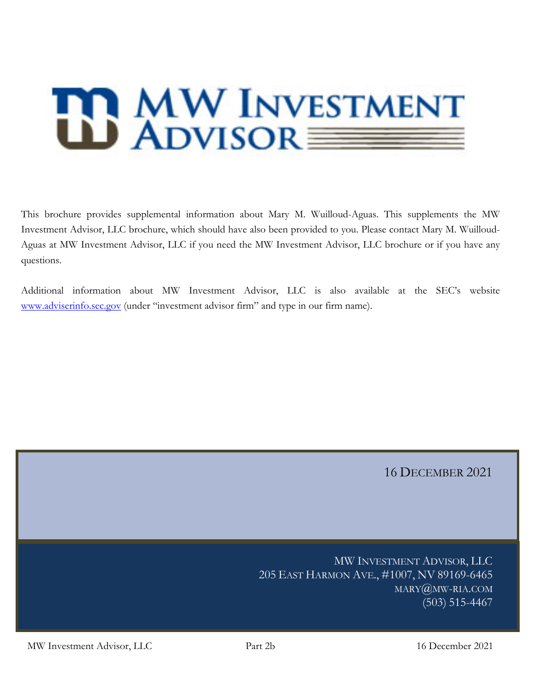# **B MW INVESTMENT**

This brochure provides supplemental information about Mary M. Wuilloud-Aguas. This supplements the MW Investment Advisor, LLC brochure, which should have also been provided to you. Please contact Mary M. Wuilloud-Aguas at MW Investment Advisor, LLC if you need the MW Investment Advisor, LLC brochure or if you have any questions.

Additional information about MW Investment Advisor, LLC is also available at the SEC's website www.adviserinfo.sec.gov (under "investment advisor firm" and type in our firm name).

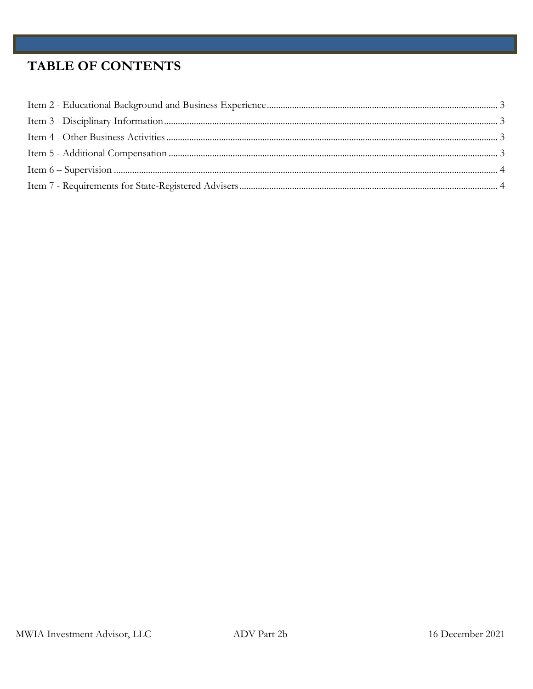# **TABLE OF CONTENTS**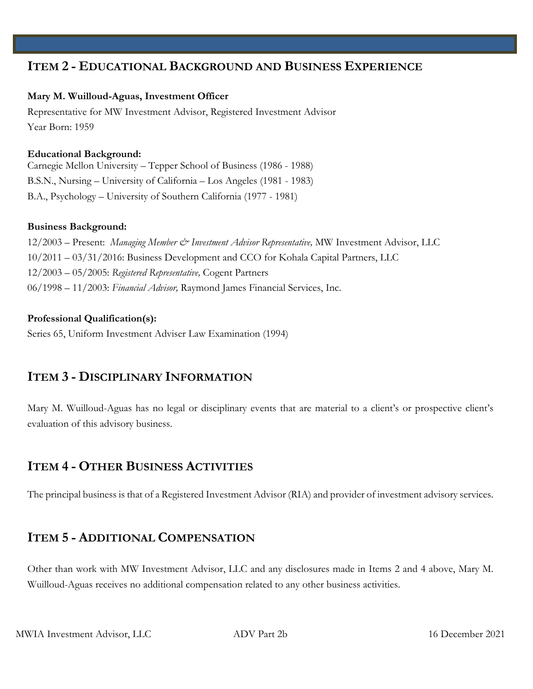# **ITEM 2 - EDUCATIONAL BACKGROUND AND BUSINESS EXPERIENCE**

### **Mary M. Wuilloud-Aguas, Investment Officer**

Representative for MW Investment Advisor, Registered Investment Advisor Year Born: 1959

### **Educational Background:**

Carnegie Mellon University – Tepper School of Business (1986 - 1988) B.S.N., Nursing – University of California – Los Angeles (1981 - 1983) B.A., Psychology – University of Southern California (1977 - 1981)

### **Business Background:**

12/2003 – Present: *Managing Member & Investment Advisor Representative,* MW Investment Advisor, LLC 10/2011 – 03/31/2016: Business Development and CCO for Kohala Capital Partners, LLC 12/2003 – 05/2005: *Registered Representative,* Cogent Partners 06/1998 – 11/2003: *Financial Advisor,* Raymond James Financial Services, Inc.

### **Professional Qualification(s):**

Series 65, Uniform Investment Adviser Law Examination (1994)

# **ITEM 3 - DISCIPLINARY INFORMATION**

Mary M. Wuilloud-Aguas has no legal or disciplinary events that are material to a client's or prospective client's evaluation of this advisory business.

# **ITEM 4 - OTHER BUSINESS ACTIVITIES**

The principal business is that of a Registered Investment Advisor (RIA) and provider of investment advisory services.

# **ITEM 5 - ADDITIONAL COMPENSATION**

Other than work with MW Investment Advisor, LLC and any disclosures made in Items 2 and 4 above, Mary M. Wuilloud-Aguas receives no additional compensation related to any other business activities.